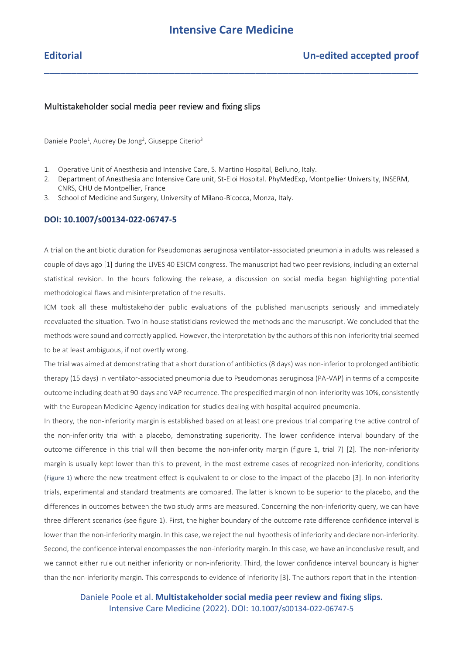**\_\_\_\_\_\_\_\_\_\_\_\_\_\_\_\_\_\_\_\_\_\_\_\_\_\_\_\_\_\_\_\_\_\_\_\_\_\_\_\_\_\_\_\_\_\_\_\_\_\_\_\_\_\_\_\_\_\_\_\_\_\_\_\_\_\_\_\_\_**

## Multistakeholder social media peer review and fixing slips

Daniele Poole<sup>1</sup>, Audrey De Jong<sup>2</sup>, Giuseppe Citerio<sup>3</sup>

- 1. Operative Unit of Anesthesia and Intensive Care, S. Martino Hospital, Belluno, Italy.
- 2. Department of Anesthesia and Intensive Care unit, St-Eloi Hospital. PhyMedExp, Montpellier University, INSERM, CNRS, CHU de Montpellier, France
- 3. School of Medicine and Surgery, University of Milano-Bicocca, Monza, Italy.

### **DOI: 10.1007/s00134-022-06747-5**

A trial on the antibiotic duration for Pseudomonas aeruginosa ventilator-associated pneumonia in adults was released a couple of days ago [1] during the LIVES 40 ESICM congress. The manuscript had two peer revisions, including an external statistical revision. In the hours following the release, a discussion on social media began highlighting potential methodological flaws and misinterpretation of the results.

ICM took all these multistakeholder public evaluations of the published manuscripts seriously and immediately reevaluated the situation. Two in-house statisticians reviewed the methods and the manuscript. We concluded that the methods were sound and correctly applied. However, the interpretation by the authors of this non-inferiority trial seemed to be at least ambiguous, if not overtly wrong.

The trial was aimed at demonstrating that a short duration of antibiotics (8 days) was non-inferior to prolonged antibiotic therapy (15 days) in ventilator-associated pneumonia due to Pseudomonas aeruginosa (PA-VAP) in terms of a composite outcome including death at 90-days and VAP recurrence. The prespecified margin of non-inferiority was 10%, consistently with the European Medicine Agency indication for studies dealing with hospital-acquired pneumonia.

In theory, the non-inferiority margin is established based on at least one previous trial comparing the active control of the non-inferiority trial with a placebo, demonstrating superiority. The lower confidence interval boundary of the outcome difference in this trial will then become the non-inferiority margin (figure 1, trial 7) [2]. The non-inferiority margin is usually kept lower than this to prevent, in the most extreme cases of recognized non-inferiority, conditions (Figure 1) where the new treatment effect is equivalent to or close to the impact of the placebo [3]. In non-inferiority trials, experimental and standard treatments are compared. The latter is known to be superior to the placebo, and the differences in outcomes between the two study arms are measured. Concerning the non-inferiority query, we can have three different scenarios (see figure 1). First, the higher boundary of the outcome rate difference confidence interval is lower than the non-inferiority margin. In this case, we reject the null hypothesis of inferiority and declare non-inferiority. Second, the confidence interval encompasses the non-inferiority margin. In this case, we have an inconclusive result, and we cannot either rule out neither inferiority or non-inferiority. Third, the lower confidence interval boundary is higher than the non-inferiority margin. This corresponds to evidence of inferiority [3]. The authors report that in the intention-

Daniele Poole et al. **Multistakeholder social media peer review and fixing slips.** Intensive Care Medicine (2022). DOI: 10.1007/s00134-022-06747-5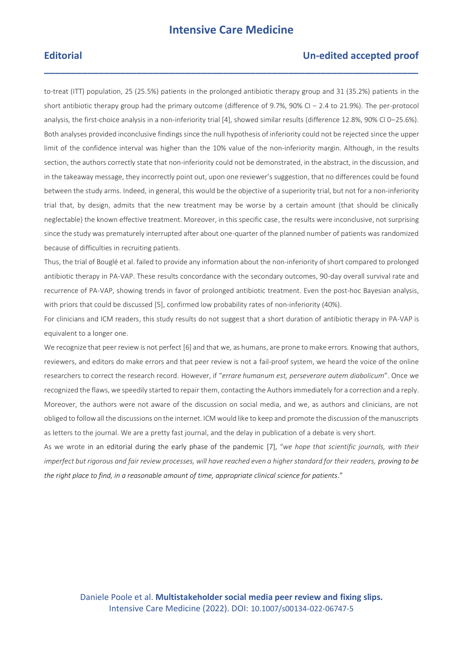**\_\_\_\_\_\_\_\_\_\_\_\_\_\_\_\_\_\_\_\_\_\_\_\_\_\_\_\_\_\_\_\_\_\_\_\_\_\_\_\_\_\_\_\_\_\_\_\_\_\_\_\_\_\_\_\_\_\_\_\_\_\_\_\_\_\_\_\_\_**

## **Editorial Un-edited accepted proof**

to-treat (ITT) population, 25 (25.5%) patients in the prolonged antibiotic therapy group and 31 (35.2%) patients in the short antibiotic therapy group had the primary outcome (difference of 9.7%, 90% CI − 2.4 to 21.9%). The per-protocol analysis, the first-choice analysis in a non-inferiority trial [4], showed similar results (difference 12.8%, 90% CI 0–25.6%). Both analyses provided inconclusive findings since the null hypothesis of inferiority could not be rejected since the upper limit of the confidence interval was higher than the 10% value of the non-inferiority margin. Although, in the results section, the authors correctly state that non-inferiority could not be demonstrated, in the abstract, in the discussion, and in the takeaway message, they incorrectly point out, upon one reviewer's suggestion, that no differences could be found between the study arms. Indeed, in general, this would be the objective of a superiority trial, but not for a non-inferiority trial that, by design, admits that the new treatment may be worse by a certain amount (that should be clinically neglectable) the known effective treatment. Moreover, in this specific case, the results were inconclusive, not surprising since the study was prematurely interrupted after about one-quarter of the planned number of patients was randomized because of difficulties in recruiting patients.

Thus, the trial of Bouglé et al. failed to provide any information about the non-inferiority of short compared to prolonged antibiotic therapy in PA-VAP. These results concordance with the secondary outcomes, 90-day overall survival rate and recurrence of PA-VAP, showing trends in favor of prolonged antibiotic treatment. Even the post-hoc Bayesian analysis, with priors that could be discussed [5], confirmed low probability rates of non-inferiority (40%).

For clinicians and ICM readers, this study results do not suggest that a short duration of antibiotic therapy in PA-VAP is equivalent to a longer one.

We recognize that peer review is not perfect [6] and that we, as humans, are prone to make errors. Knowing that authors, reviewers, and editors do make errors and that peer review is not a fail-proof system, we heard the voice of the online researchers to correct the research record. However, if "*errare humanum est, perseverare autem diabolicum*". Once we recognized the flaws, we speedily started to repair them, contacting the Authors immediately for a correction and a reply. Moreover, the authors were not aware of the discussion on social media, and we, as authors and clinicians, are not obliged to follow all the discussions on the internet. ICM would like to keep and promote the discussion of the manuscripts as letters to the journal. We are a pretty fast journal, and the delay in publication of a debate is very short.

As we wrote in an editorial during the early phase of the pandemic [7], "*we hope that scientific journals, with their imperfect but rigorous and fair review processes, will have reached even a higher standard for their readers, proving to be the right place to find, in a reasonable amount of time, appropriate clinical science for patients*."

Daniele Poole et al. **Multistakeholder social media peer review and fixing slips.** Intensive Care Medicine (2022). DOI: 10.1007/s00134-022-06747-5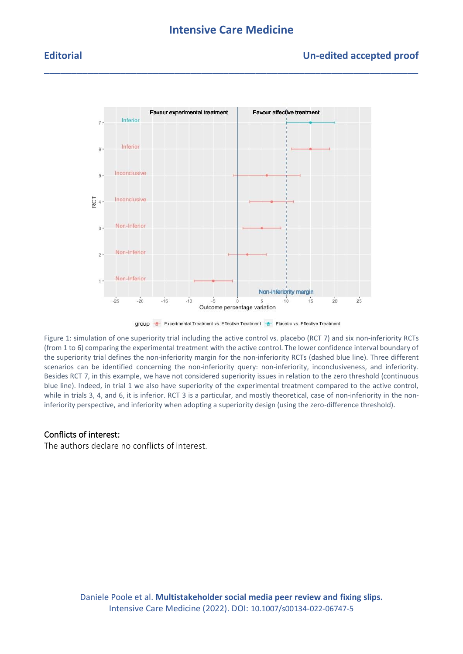## **Intensive Care Medicine**

**\_\_\_\_\_\_\_\_\_\_\_\_\_\_\_\_\_\_\_\_\_\_\_\_\_\_\_\_\_\_\_\_\_\_\_\_\_\_\_\_\_\_\_\_\_\_\_\_\_\_\_\_\_\_\_\_\_\_\_\_\_\_\_\_\_\_\_\_\_**

## **Editorial Un-edited accepted proof**



group <sup>-</sup> Experimental Treatment vs. Effective Treatment <sup>- 8</sup> Placebo vs. Effective Treatment

Figure 1: simulation of one superiority trial including the active control vs. placebo (RCT 7) and six non-inferiority RCTs (from 1 to 6) comparing the experimental treatment with the active control. The lower confidence interval boundary of the superiority trial defines the non-inferiority margin for the non-inferiority RCTs (dashed blue line). Three different scenarios can be identified concerning the non-inferiority query: non-inferiority, inconclusiveness, and inferiority. Besides RCT 7, in this example, we have not considered superiority issues in relation to the zero threshold (continuous blue line). Indeed, in trial 1 we also have superiority of the experimental treatment compared to the active control, while in trials 3, 4, and 6, it is inferior. RCT 3 is a particular, and mostly theoretical, case of non-inferiority in the noninferiority perspective, and inferiority when adopting a superiority design (using the zero-difference threshold).

### Conflicts of interest:

The authors declare no conflicts of interest.